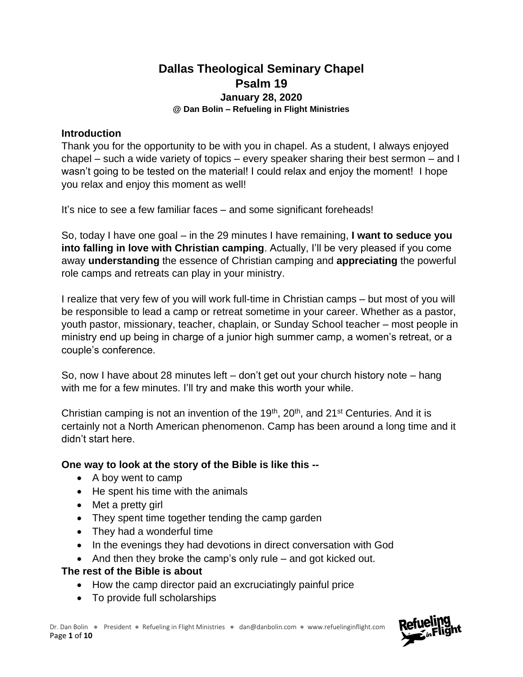# **Dallas Theological Seminary Chapel Psalm 19 January 28, 2020 @ Dan Bolin – Refueling in Flight Ministries**

### **Introduction**

Thank you for the opportunity to be with you in chapel. As a student, I always enjoyed chapel – such a wide variety of topics – every speaker sharing their best sermon – and I wasn't going to be tested on the material! I could relax and enjoy the moment! I hope you relax and enjoy this moment as well!

It's nice to see a few familiar faces – and some significant foreheads!

So, today I have one goal – in the 29 minutes I have remaining, **I want to seduce you into falling in love with Christian camping**. Actually, I'll be very pleased if you come away **understanding** the essence of Christian camping and **appreciating** the powerful role camps and retreats can play in your ministry.

I realize that very few of you will work full-time in Christian camps – but most of you will be responsible to lead a camp or retreat sometime in your career. Whether as a pastor, youth pastor, missionary, teacher, chaplain, or Sunday School teacher – most people in ministry end up being in charge of a junior high summer camp, a women's retreat, or a couple's conference.

So, now I have about 28 minutes left – don't get out your church history note – hang with me for a few minutes. I'll try and make this worth your while.

Christian camping is not an invention of the  $19<sup>th</sup>$ ,  $20<sup>th</sup>$ , and  $21<sup>st</sup>$  Centuries. And it is certainly not a North American phenomenon. Camp has been around a long time and it didn't start here.

## **One way to look at the story of the Bible is like this --**

- A boy went to camp
- He spent his time with the animals
- Met a pretty girl
- They spent time together tending the camp garden
- They had a wonderful time
- In the evenings they had devotions in direct conversation with God
- And then they broke the camp's only rule and got kicked out.

# **The rest of the Bible is about**

- How the camp director paid an excruciatingly painful price
- To provide full scholarships

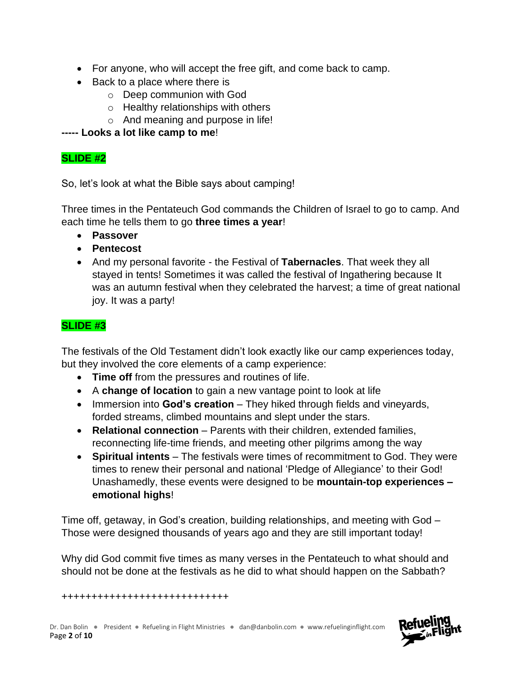- For anyone, who will accept the free gift, and come back to camp.
- Back to a place where there is
	- o Deep communion with God
	- $\circ$  Healthy relationships with others
	- o And meaning and purpose in life!

**----- Looks a lot like camp to me**!

# **SLIDE #2**

So, let's look at what the Bible says about camping!

Three times in the Pentateuch God commands the Children of Israel to go to camp. And each time he tells them to go **three times a year**!

- **Passover**
- **Pentecost**
- And my personal favorite the Festival of **Tabernacles**. That week they all stayed in tents! Sometimes it was called the festival of Ingathering because It was an autumn festival when they celebrated the harvest; a time of great national joy. It was a party!

# **SLIDE #3**

The festivals of the Old Testament didn't look exactly like our camp experiences today, but they involved the core elements of a camp experience:

- **Time off** from the pressures and routines of life.
- A **change of location** to gain a new vantage point to look at life
- Immersion into **God's creation** They hiked through fields and vineyards, forded streams, climbed mountains and slept under the stars.
- **Relational connection** Parents with their children, extended families, reconnecting life-time friends, and meeting other pilgrims among the way
- **Spiritual intents** The festivals were times of recommitment to God. They were times to renew their personal and national 'Pledge of Allegiance' to their God! Unashamedly, these events were designed to be **mountain-top experiences – emotional highs**!

Time off, getaway, in God's creation, building relationships, and meeting with God – Those were designed thousands of years ago and they are still important today!

Why did God commit five times as many verses in the Pentateuch to what should and should not be done at the festivals as he did to what should happen on the Sabbath?

++++++++++++++++++++++++++++

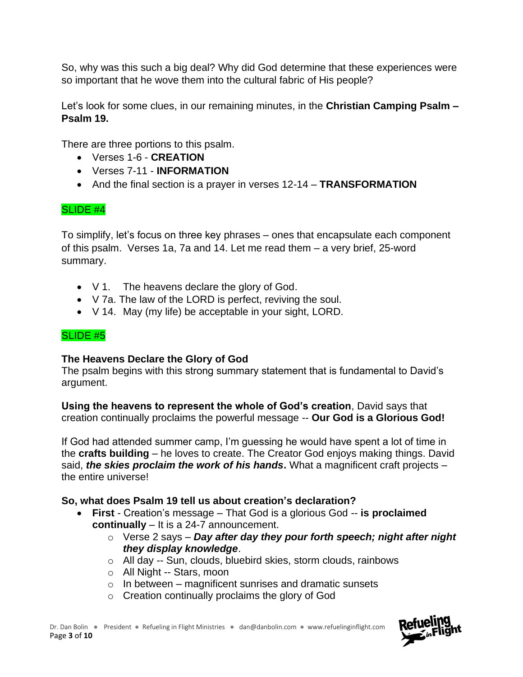So, why was this such a big deal? Why did God determine that these experiences were so important that he wove them into the cultural fabric of His people?

Let's look for some clues, in our remaining minutes, in the **Christian Camping Psalm – Psalm 19.**

There are three portions to this psalm.

- Verses 1-6 **CREATION**
- Verses 7-11 **INFORMATION**
- And the final section is a prayer in verses 12-14 **TRANSFORMATION**

## SLIDE #4

To simplify, let's focus on three key phrases – ones that encapsulate each component of this psalm. Verses 1a, 7a and 14. Let me read them – a very brief, 25-word summary.

- V 1. The heavens declare the glory of God.
- V 7a. The law of the LORD is perfect, reviving the soul.
- V 14. May (my life) be acceptable in your sight, LORD.

### SLIDE #5

### **The Heavens Declare the Glory of God**

The psalm begins with this strong summary statement that is fundamental to David's argument.

**Using the heavens to represent the whole of God's creation**, David says that creation continually proclaims the powerful message -- **Our God is a Glorious God!**

If God had attended summer camp, I'm guessing he would have spent a lot of time in the **crafts building** – he loves to create. The Creator God enjoys making things. David said, *the skies proclaim the work of his hands***.** What a magnificent craft projects – the entire universe!

### **So, what does Psalm 19 tell us about creation's declaration?**

- **First**  Creation's message That God is a glorious God -- **is proclaimed continually** – It is a 24-7 announcement.
	- o Verse 2 says *Day after day they pour forth speech; night after night they display knowledge*.
	- o All day -- Sun, clouds, bluebird skies, storm clouds, rainbows
	- o All Night -- Stars, moon
	- $\circ$  In between magnificent sunrises and dramatic sunsets
	- o Creation continually proclaims the glory of God

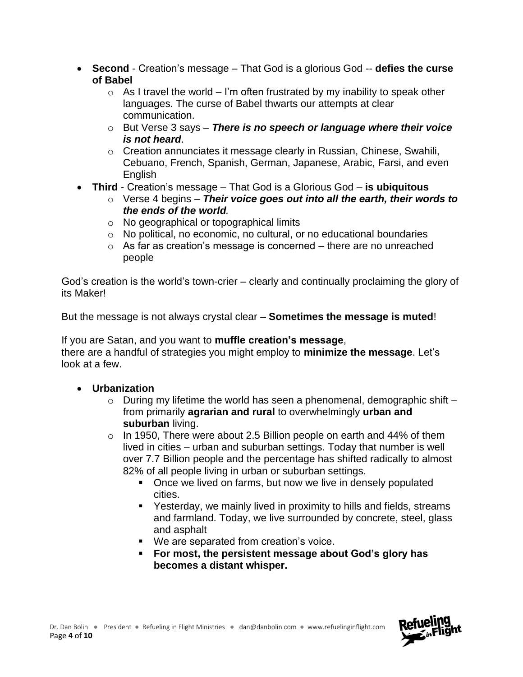- **Second**  Creation's message That God is a glorious God -- **defies the curse of Babel**
	- $\circ$  As I travel the world I'm often frustrated by my inability to speak other languages. The curse of Babel thwarts our attempts at clear communication.
	- o But Verse 3 says *There is no speech or language where their voice is not heard*.
	- $\circ$  Creation annunciates it message clearly in Russian, Chinese, Swahili, Cebuano, French, Spanish, German, Japanese, Arabic, Farsi, and even **English**
- **Third** Creation's message That God is a Glorious God **is ubiquitous**
	- o Verse 4 begins *Their voice goes out into all the earth, their words to the ends of the world.*
	- o No geographical or topographical limits
	- o No political, no economic, no cultural, or no educational boundaries
	- $\circ$  As far as creation's message is concerned there are no unreached people

God's creation is the world's town-crier – clearly and continually proclaiming the glory of its Maker!

But the message is not always crystal clear – **Sometimes the message is muted**!

If you are Satan, and you want to **muffle creation's message**, there are a handful of strategies you might employ to **minimize the message**. Let's look at a few.

- **Urbanization**
	- $\circ$  During my lifetime the world has seen a phenomenal, demographic shift  $$ from primarily **agrarian and rural** to overwhelmingly **urban and suburban** living.
	- $\circ$  In 1950, There were about 2.5 Billion people on earth and 44% of them lived in cities – urban and suburban settings. Today that number is well over 7.7 Billion people and the percentage has shifted radically to almost 82% of all people living in urban or suburban settings.
		- Once we lived on farms, but now we live in densely populated cities.
		- Yesterday, we mainly lived in proximity to hills and fields, streams and farmland. Today, we live surrounded by concrete, steel, glass and asphalt
		- We are separated from creation's voice.
		- **For most, the persistent message about God's glory has becomes a distant whisper.**

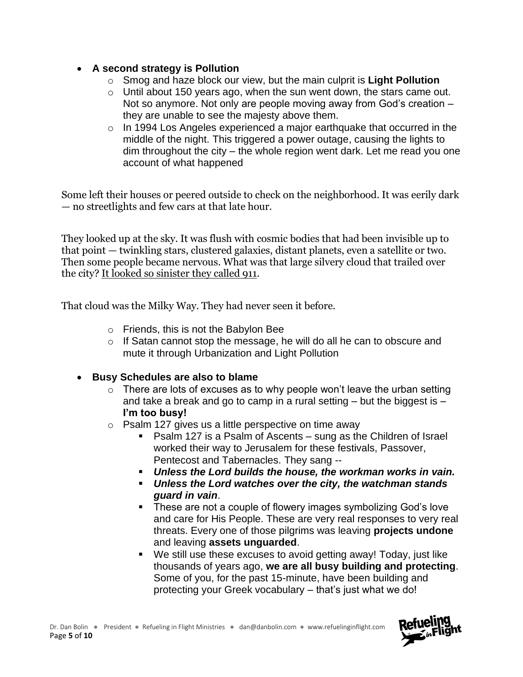## • **A second strategy is Pollution**

- o Smog and haze block our view, but the main culprit is **Light Pollution**
- o Until about 150 years ago, when the sun went down, the stars came out. Not so anymore. Not only are people moving away from God's creation – they are unable to see the majesty above them.
- o In 1994 Los Angeles experienced a major earthquake that occurred in the middle of the night. This triggered a power outage, causing the lights to dim throughout the city – the whole region went dark. Let me read you one account of what happened

Some left their houses or peered outside to check on the neighborhood. It was eerily dark — no streetlights and few cars at that late hour.

They looked up at the sky. It was flush with cosmic bodies that had been invisible up to that point — twinkling stars, clustered galaxies, distant planets, even a satellite or two. Then some people became nervous. What was that large silvery cloud that trailed over the city? [It looked so sinister they called 911.](http://www.nytimes.com/2008/08/31/business/31essay.html)

That cloud was the Milky Way. They had never seen it before.

- o Friends, this is not the Babylon Bee
- $\circ$  If Satan cannot stop the message, he will do all he can to obscure and mute it through Urbanization and Light Pollution
- **Busy Schedules are also to blame**
	- $\circ$  There are lots of excuses as to why people won't leave the urban setting and take a break and go to camp in a rural setting – but the biggest is – **I'm too busy!**
	- o Psalm 127 gives us a little perspective on time away
		- Psalm 127 is a Psalm of Ascents sung as the Children of Israel worked their way to Jerusalem for these festivals, Passover, Pentecost and Tabernacles. They sang --
		- *Unless the Lord builds the house, the workman works in vain.*
		- *Unless the Lord watches over the city, the watchman stands guard in vain*.
		- These are not a couple of flowery images symbolizing God's love and care for His People. These are very real responses to very real threats. Every one of those pilgrims was leaving **projects undone** and leaving **assets unguarded**.
		- We still use these excuses to avoid getting away! Today, just like thousands of years ago, **we are all busy building and protecting**. Some of you, for the past 15-minute, have been building and protecting your Greek vocabulary – that's just what we do!

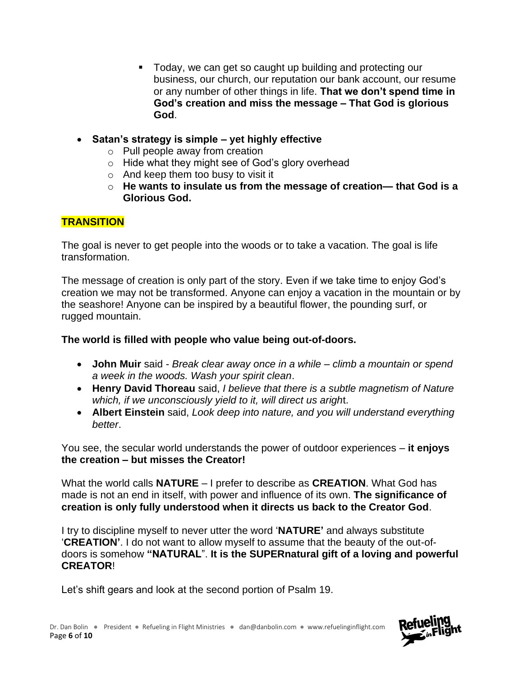- Today, we can get so caught up building and protecting our business, our church, our reputation our bank account, our resume or any number of other things in life. **That we don't spend time in God's creation and miss the message – That God is glorious God**.
- **Satan's strategy is simple – yet highly effective**
	- o Pull people away from creation
	- o Hide what they might see of God's glory overhead
	- o And keep them too busy to visit it
	- o **He wants to insulate us from the message of creation— that God is a Glorious God.**

# **TRANSITION**

The goal is never to get people into the woods or to take a vacation. The goal is life transformation.

The message of creation is only part of the story. Even if we take time to enjoy God's creation we may not be transformed. Anyone can enjoy a vacation in the mountain or by the seashore! Anyone can be inspired by a beautiful flower, the pounding surf, or rugged mountain.

# **The world is filled with people who value being out-of-doors.**

- **John Muir** said *Break clear away once in a while – climb a mountain or spend a week in the woods. Wash your spirit clean*.
- **Henry David Thoreau** said, *I believe that there is a subtle magnetism of Nature which, if we unconsciously yield to it, will direct us arigh*t.
- **Albert Einstein** said, *Look deep into nature, and you will understand everything better*.

You see, the secular world understands the power of outdoor experiences – **it enjoys the creation – but misses the Creator!**

What the world calls **NATURE** – I prefer to describe as **CREATION**. What God has made is not an end in itself, with power and influence of its own. **The significance of creation is only fully understood when it directs us back to the Creator God**.

I try to discipline myself to never utter the word '**NATURE'** and always substitute '**CREATION'**. I do not want to allow myself to assume that the beauty of the out-ofdoors is somehow **"NATURAL**". **It is the SUPERnatural gift of a loving and powerful CREATOR**!

Let's shift gears and look at the second portion of Psalm 19.

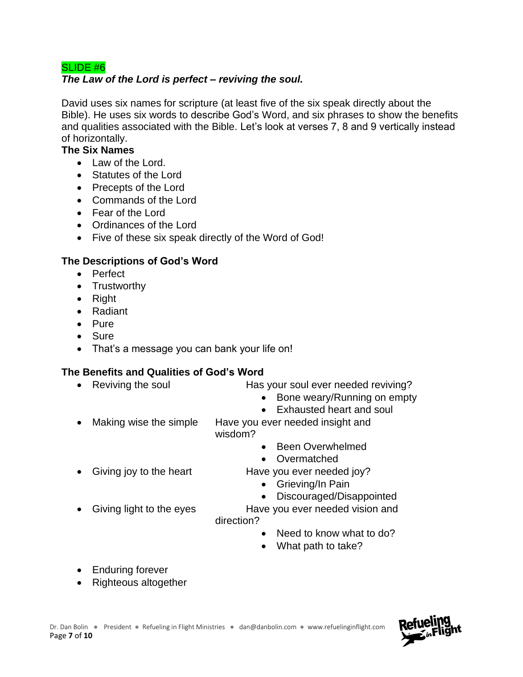## SLIDE #6

## *The Law of the Lord is perfect – reviving the soul.*

David uses six names for scripture (at least five of the six speak directly about the Bible). He uses six words to describe God's Word, and six phrases to show the benefits and qualities associated with the Bible. Let's look at verses 7, 8 and 9 vertically instead of horizontally.

#### **The Six Names**

- Law of the Lord.
- Statutes of the Lord
- Precepts of the Lord
- Commands of the Lord
- Fear of the Lord
- Ordinances of the Lord
- Five of these six speak directly of the Word of God!

## **The Descriptions of God's Word**

- Perfect
- Trustworthy
- Right
- Radiant
- Pure
- Sure
- That's a message you can bank your life on!

## **The Benefits and Qualities of God's Word**

- Reviving the soul **Has your soul ever needed reviving?**
- - Bone weary/Running on empty
	- Exhausted heart and soul
- Making wise the simple Have you ever needed insight and wisdom?
	- Been Overwhelmed
	- Overmatched
- Giving joy to the heart Have you ever needed joy?
	- Grieving/In Pain
	- Discouraged/Disappointed
- Giving light to the eyes Have you ever needed vision and direction?
	- Need to know what to do?
	- What path to take?

- Enduring forever
- Righteous altogether

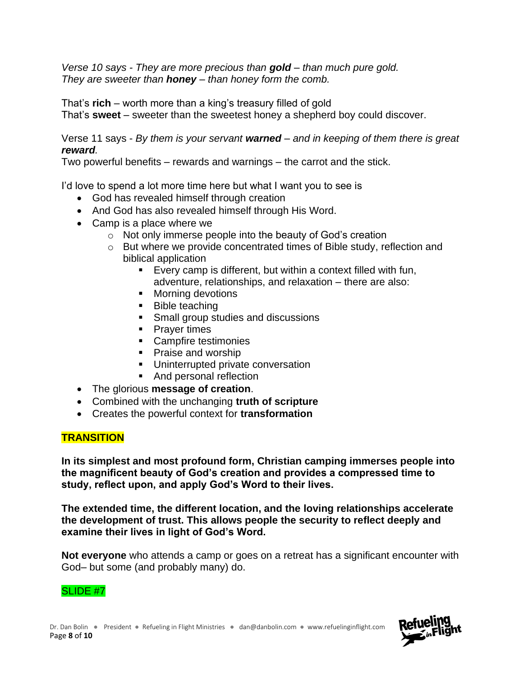*Verse 10 says - They are more precious than gold – than much pure gold. They are sweeter than honey – than honey form the comb.* 

That's **rich** – worth more than a king's treasury filled of gold That's **sweet** – sweeter than the sweetest honey a shepherd boy could discover.

Verse 11 says - *By them is your servant warned – and in keeping of them there is great reward.* 

Two powerful benefits – rewards and warnings – the carrot and the stick.

I'd love to spend a lot more time here but what I want you to see is

- God has revealed himself through creation
- And God has also revealed himself through His Word.
- Camp is a place where we
	- o Not only immerse people into the beauty of God's creation
	- o But where we provide concentrated times of Bible study, reflection and biblical application
		- Every camp is different, but within a context filled with fun, adventure, relationships, and relaxation – there are also:
		- Morning devotions
		- Bible teaching
		- Small group studies and discussions
		- Prayer times
		- Campfire testimonies
		- Praise and worship
		- **■** Uninterrupted private conversation
		- And personal reflection
- The glorious **message of creation**.
- Combined with the unchanging **truth of scripture**
- Creates the powerful context for **transformation**

## **TRANSITION**

**In its simplest and most profound form, Christian camping immerses people into the magnificent beauty of God's creation and provides a compressed time to study, reflect upon, and apply God's Word to their lives.**

**The extended time, the different location, and the loving relationships accelerate the development of trust. This allows people the security to reflect deeply and examine their lives in light of God's Word.** 

**Not everyone** who attends a camp or goes on a retreat has a significant encounter with God– but some (and probably many) do.

### SLIDE #7

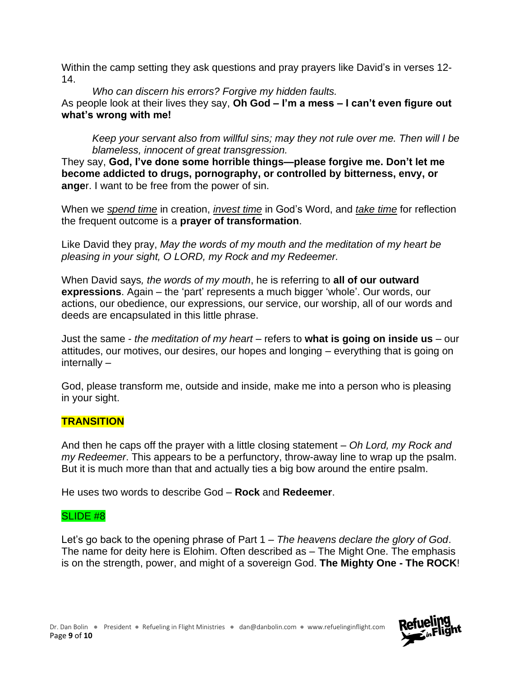Within the camp setting they ask questions and pray prayers like David's in verses 12- 14.

*Who can discern his errors? Forgive my hidden faults.*  As people look at their lives they say, **Oh God – I'm a mess – I can't even figure out what's wrong with me!** 

*Keep your servant also from willful sins; may they not rule over me. Then will I be blameless, innocent of great transgression.* 

They say, **God, I've done some horrible things—please forgive me. Don't let me become addicted to drugs, pornography, or controlled by bitterness, envy, or ange**r. I want to be free from the power of sin.

When we *spend time* in creation, *invest time* in God's Word, and *take time* for reflection the frequent outcome is a **prayer of transformation**.

Like David they pray, *May the words of my mouth and the meditation of my heart be pleasing in your sight, O LORD, my Rock and my Redeemer.*

When David says*, the words of my mouth*, he is referring to **all of our outward expressions**. Again – the 'part' represents a much bigger 'whole'. Our words, our actions, our obedience, our expressions, our service, our worship, all of our words and deeds are encapsulated in this little phrase.

Just the same - *the meditation of my heart* – refers to **what is going on inside us** – our attitudes, our motives, our desires, our hopes and longing – everything that is going on internally –

God, please transform me, outside and inside, make me into a person who is pleasing in your sight.

## **TRANSITION**

And then he caps off the prayer with a little closing statement – *Oh Lord, my Rock and my Redeemer*. This appears to be a perfunctory, throw-away line to wrap up the psalm. But it is much more than that and actually ties a big bow around the entire psalm.

He uses two words to describe God – **Rock** and **Redeemer**.

### SLIDE #8

Let's go back to the opening phrase of Part 1 – *The heavens declare the glory of God*. The name for deity here is Elohim. Often described as – The Might One. The emphasis is on the strength, power, and might of a sovereign God. **The Mighty One - The ROCK**!